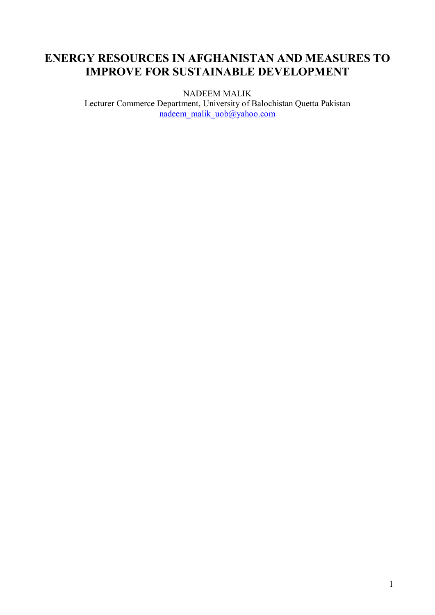# **ENERGY RESOURCES IN AFGHANISTAN AND MEASURES TO IMPROVE FOR SUSTAINABLE DEVELOPMENT**

NADEEM MALIK

Lecturer Commerce Department, University of Balochistan Quetta Pakistan nadeem\_malik\_uob@yahoo.com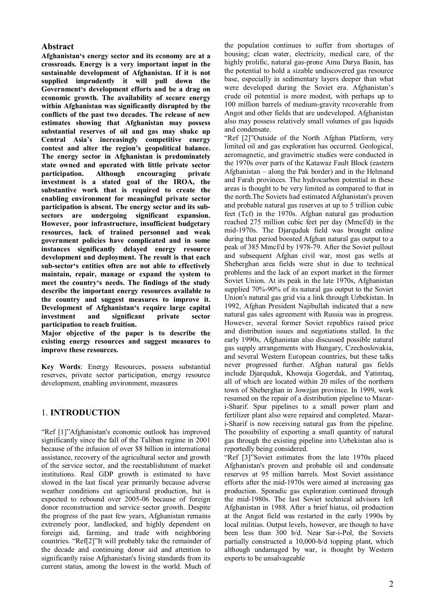#### **Abstract**

**Afghanistan's energy sector and its economy are at a crossroads. Energy is a very important input in the sustainable development of Afghanistan. If it is not supplied imprudently it will pull down the Government's development efforts and be a drag on economic growth. The availability of secure energy within Afghanistan was significantly disrupted by the conflicts of the past two decades. The release of new estimates showing that Afghanistan may possess substantial reserves of oil and gas may shake up Central Asia's increasingly competitive energy contest and alter the region's geopolitical balance. The energy sector in Afghanistan is predominately state owned and operated with little private sector participation**<br>**private investment is a stated goal of the IROA, the substantive work that is required to create the enabling environment for meaningful private sector participation is absent. The energy sector and its subsectors are undergoing significant expansion. However, poor infrastructure, insufficient budgetary resources, lack of trained personnel and weak government policies have complicated and in some instances significantly delayed energy resource development and deployment. The result is that each sub-sector's entities often are not able to effectively maintain, repair, manage or expand the system to meet the country's needs. The findings of the study describe the important energy resources available to the country and suggest measures to improve it. Development of Afghanistan's require large capital investment and significant private sector participation to reach fruition.** 

**Major objective of the paper is to describe the existing energy resources and suggest measures to improve these resources.** 

**Key Words**: Energy Resources, possess substantial reserves, private sector participation, energy resource development, enabling environment, measures

#### 1. **INTRODUCTION**

"Ref [1]"Afghanistan's economic outlook has improved significantly since the fall of the Taliban regime in 2001 because of the infusion of over \$8 billion in international assistance, recovery of the agricultural sector and growth of the service sector, and the reestablishment of market institutions. Real GDP growth is estimated to have slowed in the last fiscal year primarily because adverse weather conditions cut agricultural production, but is expected to rebound over 2005-06 because of foreign donor reconstruction and service sector growth. Despite the progress of the past few years, Afghanistan remains extremely poor, landlocked, and highly dependent on foreign aid, farming, and trade with neighboring countries. "Ref[2]"It will probably take the remainder of the decade and continuing donor aid and attention to significantly raise Afghanistan's living standards from its current status, among the lowest in the world. Much of

the population continues to suffer from shortages of housing; clean water, electricity, medical care, of the highly prolific, natural gas-prone Amu Darya Basin, has the potential to hold a sizable undiscovered gas resource base, especially in sedimentary layers deeper than what were developed during the Soviet era. Afghanistan's crude oil potential is more modest, with perhaps up to 100 million barrels of medium-gravity recoverable from Angot and other fields that are undeveloped. Afghanistan also may possess relatively small volumes of gas liquids and condensate.

"Ref [2]"Outside of the North Afghan Platform, very limited oil and gas exploration has occurred. Geological, aeromagnetic, and gravimetric studies were conducted in the 1970s over parts of the Katawaz Fault Block (eastern Afghanistan – along the Pak border) and in the Helmand and Farah provinces. The hydrocarbon potential in these areas is thought to be very limited as compared to that in the north.The Soviets had estimated Afghanistan's proven and probable natural gas reserves at up to 5 trillion cubic feet (Tcf) in the 1970s. Afghan natural gas production reached 275 million cubic feet per day (Mmcf/d) in the mid-1970s. The Djarquduk field was brought online during that period boosted Afghan natural gas output to a peak of 385 Mmcf/d by 1978-79. After the Soviet pullout and subsequent Afghan civil war, most gas wells at Sheberghan area fields were shut in due to technical problems and the lack of an export market in the former Soviet Union. At its peak in the late 1970s, Afghanistan supplied 70%-90% of its natural gas output to the Soviet Union's natural gas grid via a link through Uzbekistan. In 1992, Afghan President Najibullah indicated that a new natural gas sales agreement with Russia was in progress. However, several former Soviet republics raised price and distribution issues and negotiations stalled. In the early 1990s, Afghanistan also discussed possible natural gas supply arrangements with Hungary, Czechoslovakia, and several Western European countries, but these talks never progressed further. Afghan natural gas fields include Djarquduk, Khowaja Gogerdak, and Yatimtaq, all of which are located within 20 miles of the northern town of Sheberghan in Jowzjan province. In 1999, work resumed on the repair of a distribution pipeline to Mazari-Sharif. Spur pipelines to a small power plant and fertilizer plant also were repaired and completed. Mazari-Sharif is now receiving natural gas from the pipeline. The possibility of exporting a small quantity of natural gas through the existing pipeline into Uzbekistan also is reportedly being considered.

"Ref [3]"Soviet estimates from the late 1970s placed Afghanistan's proven and probable oil and condensate reserves at 95 million barrels. Most Soviet assistance efforts after the mid-1970s were aimed at increasing gas production. Sporadic gas exploration continued through the mid-1980s. The last Soviet technical advisors left Afghanistan in 1988. After a brief hiatus, oil production at the Angot field was restarted in the early 1990s by local militias. Output levels, however, are though to have been less than 300 b/d. Near Sar-i-Pol, the Soviets partially constructed a 10,000-b/d topping plant, which although undamaged by war, is thought by Western experts to be unsalvageable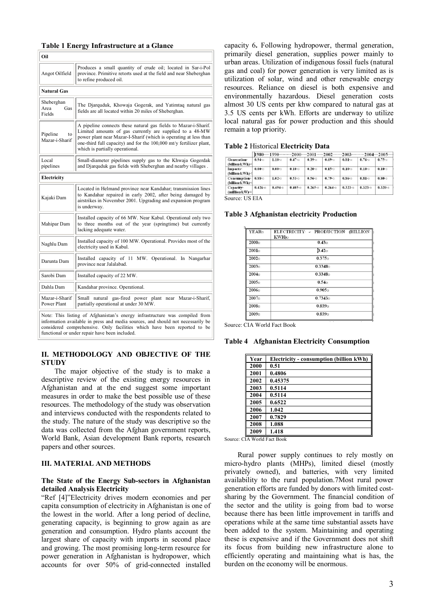# **Table 1 Energy Infrastructure at a Glance**

| Oil                                 |                                                                                                                                                                                                                                                                                                           |  |  |  |  |  |
|-------------------------------------|-----------------------------------------------------------------------------------------------------------------------------------------------------------------------------------------------------------------------------------------------------------------------------------------------------------|--|--|--|--|--|
| Angot Oilfield                      | Produces a small quantity of crude oil; located in Sar-i-Pol<br>province. Primitive retorts used at the field and near Sheberghan<br>to refine produced oil.                                                                                                                                              |  |  |  |  |  |
| <b>Natural Gas</b>                  |                                                                                                                                                                                                                                                                                                           |  |  |  |  |  |
| Sheberghan<br>Area<br>Gas<br>Fields | The Djarquduk, Khowaja Gogerak, and Yatimtaq natural gas<br>fields are all located within 20 miles of Sheberghan.                                                                                                                                                                                         |  |  |  |  |  |
| Pipeline<br>to<br>Mazar-i-Sharif    | A pipeline connects these natural gas fields to Mazar-i-Sharif.<br>Limited amounts of gas currently are supplied to a 48-MW<br>power plant near Mazar-I-Sharif (which is operating at less than<br>one-third full capacity) and for the 100,000 mt/y fertilizer plant,<br>which is partially operational. |  |  |  |  |  |
| Local<br>pipelines                  | Small-diameter pipelines supply gas to the Khwaja Gogerdak<br>and Djarquduk gas fields with Sheberghan and nearby villages.                                                                                                                                                                               |  |  |  |  |  |
| Electricity                         |                                                                                                                                                                                                                                                                                                           |  |  |  |  |  |
| Kajaki Dam                          | Located in Helmand province near Kandahar; transmission lines<br>to Kandahar repaired in early 2002, after being damaged by<br>airstrikes in November 2001. Upgrading and expansion program<br>is underway.                                                                                               |  |  |  |  |  |
| Mahipar Dam                         | Installed capacity of 66 MW. Near Kabul. Operational only two<br>to three months out of the year (springtime) but currently<br>lacking adequate water.                                                                                                                                                    |  |  |  |  |  |
| Naghlu Dam                          | Installed capacity of 100 MW. Operational. Provides most of the<br>electricity used in Kabul.                                                                                                                                                                                                             |  |  |  |  |  |
| Darunta Dam                         | Installed capacity of 11 MW. Operational. In Nangarhar<br>province near Jalalabad.                                                                                                                                                                                                                        |  |  |  |  |  |
| Sarobi Dam                          | Installed capacity of 22 MW.                                                                                                                                                                                                                                                                              |  |  |  |  |  |
| Dahla Dam                           | Kandahar province. Operational.                                                                                                                                                                                                                                                                           |  |  |  |  |  |
| Mazar-i-Sharif<br>Power Plant       | Small natural gas-fired power plant near Mazar-i-Sharif,<br>partially operational at under 30 MW.                                                                                                                                                                                                         |  |  |  |  |  |
|                                     | Note: This listing of Afghanistan's energy infrastructure was compiled from<br>information available in press and media sources and should not necessarily be                                                                                                                                             |  |  |  |  |  |

information available in press and media sources, and should not necessarily be considered comprehensive. Only facilities which have been reported to be functional or under repair have been included.

#### **II. METHODOLOGY AND OBJECTIVE OF THE STUDY**

The major objective of the study is to make a descriptive review of the existing energy resources in Afghanistan and at the end suggest some important measures in order to make the best possible use of these resources. The methodology of the study was observation and interviews conducted with the respondents related to the study. The nature of the study was descriptive so the data was collected from the Afghan government reports, World Bank, Asian development Bank reports, research papers and other sources.

#### **III. MATERIAL AND METHODS**

#### **The State of the Energy Sub-sectors in Afghanistan detailed Analysis Electricity**

"Ref [4]"Electricity drives modern economies and per capita consumption of electricity in Afghanistan is one of the lowest in the world. After a long period of decline, generating capacity, is beginning to grow again as are generation and consumption. Hydro plants account the largest share of capacity with imports in second place and growing. The most promising long-term resource for power generation in Afghanistan is hydropower, which accounts for over 50% of grid-connected installed capacity 6**.** Following hydropower, thermal generation, primarily diesel generation, supplies power mainly to urban areas. Utilization of indigenous fossil fuels (natural gas and coal) for power generation is very limited as is utilization of solar, wind and other renewable energy resources. Reliance on diesel is both expensive and environmentally hazardous. Diesel generation costs almost 30 US cents per khw compared to natural gas at 3.5 US cents per kWh. Efforts are underway to utilize local natural gas for power production and this should remain a top priority.

|                                   |              |               |                |                 |               |              | $1980\cdots1990\cdots2000\cdots2001\cdots2002\cdots2003\cdots2003\cdots2004\cdots2005\cdots$ |               |
|-----------------------------------|--------------|---------------|----------------|-----------------|---------------|--------------|----------------------------------------------------------------------------------------------|---------------|
| Generation·<br>(billion-kWh)<     | $0.94 - 0.0$ | $1.10 - 2$    | $0.47 - \circ$ | $0.39 - 0.59$   | $0.69 - 0.02$ | $0.81 - 0.5$ | 0.76                                                                                         | $0.75 - 0.75$ |
| Imports.<br>(billion-kWh)-d       | $0.00 \circ$ | $0.00 -$      | $0.10 -$       | $0.20 - 0.0$    | $0.15 - 0.15$ | $0.10 -$     | $0.10 - 0$                                                                                   | $0.10 - 0.0$  |
| Consumption .<br>(billion k Wh)-4 | $0.88$ .     | $1.02 - 0.01$ | $0.53 - 0.53$  | $0.56 - 0.56$   | $0.79 - c$    | $0.86 - 0$   | $0.81$ <sup><math>\circ</math></sup>                                                         | $0.80 - 0$    |
| Capacity-<br>(million kW) ∘¤      | $0.426 - c$  | $0.494 - 0.5$ | $0.405 -$      | $0.265 - 0.000$ | $0.264 - 0.$  | $0.323 - 0.$ | $0.323 - 8$                                                                                  | $0.320 - 0.$  |

Source: US EIA

#### **Table 3 Afghanistan electricity Production**

| YEARo             | ELECTRICITY - PRODUCTION (BILLION)<br>KWH)≎ |
|-------------------|---------------------------------------------|
| 2000c             | 0.43 <sub>0</sub>                           |
| 2001 <sub>0</sub> | $0.42$ o                                    |
| 20020             | 0.375 <sub>0</sub>                          |
| 20030             | 0.3348c                                     |
| 2004c             | 0.3348c                                     |
| 20050             | 0.54 <sub>0</sub>                           |
| 2006c             | 0.905 <sub>0</sub>                          |
| 2007c             | 0.7343c                                     |
| 2008c             | 0.8390                                      |
| 2009c             | 0.8395                                      |

Source: CIA World Fact Book

**Table 4 Afghanistan Electricity Consumption**

| Year | Electricity - consumption (billion kWh) |
|------|-----------------------------------------|
| 2000 | 0.51                                    |
| 2001 | 0.4806                                  |
| 2002 | 0.45375                                 |
| 2003 | 0.5114                                  |
| 2004 | 0.5114                                  |
| 2005 | 0.6522                                  |
| 2006 | 1.042                                   |
| 2007 | 0.7829                                  |
| 2008 | 1.088                                   |
| 2009 | 1.418                                   |

Source: CIA World Fact Book

Rural power supply continues to rely mostly on micro-hydro plants (MHPs), limited diesel (mostly privately owned), and batteries, with very limited availability to the rural population.7Most rural power generation efforts are funded by donors with limited costsharing by the Government. The financial condition of the sector and the utility is going from bad to worse because there has been little improvement in tariffs and operations while at the same time substantial assets have been added to the system. Maintaining and operating these is expensive and if the Government does not shift its focus from building new infrastructure alone to efficiently operating and maintaining what is has, the burden on the economy will be enormous.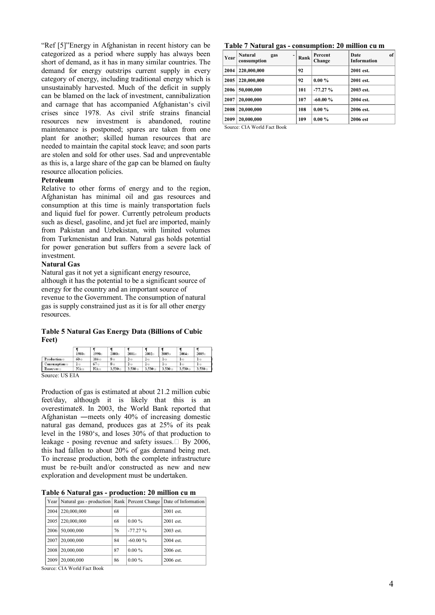"Ref [5]"Energy in Afghanistan in recent history can be categorized as a period where supply has always been short of demand, as it has in many similar countries. The demand for energy outstrips current supply in every category of energy, including traditional energy which is unsustainably harvested. Much of the deficit in supply can be blamed on the lack of investment, cannibalization and carnage that has accompanied Afghanistan's civil crises since 1978. As civil strife strains financial resources new investment is abandoned, routine maintenance is postponed; spares are taken from one plant for another; skilled human resources that are needed to maintain the capital stock leave; and soon parts are stolen and sold for other uses. Sad and unpreventable as this is, a large share of the gap can be blamed on faulty resource allocation policies.

#### **Petroleum**

Relative to other forms of energy and to the region, Afghanistan has minimal oil and gas resources and consumption at this time is mainly transportation fuels and liquid fuel for power. Currently petroleum products such as diesel, gasoline, and jet fuel are imported, mainly from Pakistan and Uzbekistan, with limited volumes from Turkmenistan and Iran. Natural gas holds potential for power generation but suffers from a severe lack of investment.

#### **Natural Gas**

Natural gas it not yet a significant energy resource, although it has the potential to be a significant source of energy for the country and an important source of revenue to the Government. The consumption of natural gas is supply constrained just as it is for all other energy resources.

#### **Table 5 Natural Gas Energy Data (Billions of Cubic Feet)**

|             | 1980c  | 1990c    | $2000 -$       | 2001 <sub>0</sub> | 20020       | 20030     | 20040     | 2005c     |
|-------------|--------|----------|----------------|-------------------|-------------|-----------|-----------|-----------|
| Production  | $60 -$ | $104 -$  | 8 <sub>o</sub> | $2 - 0$           | $2 - 0$     | Ŀo        | $\Gamma$  | $1\circ$  |
| Consumption | 200    | $67 - 0$ | 8 <sub>0</sub> | 20 <sub>0</sub>   | $2 - 0$     | Ŀo        | ŀо        | ŀο        |
| Reserves:   | $NA$ o | $NA$ o   | 3,530-0        | $3.530 -$         | $3.530 - 0$ | $3.530 -$ | $3.530 -$ | $3.530 -$ |

Source: US EIA

Production of gas is estimated at about 21.2 million cubic feet/day, although it is likely that this is an overestimate8. In 2003, the World Bank reported that Afghanistan ―meets only 40% of increasing domestic natural gas demand, produces gas at 25% of its peak level in the 1980's, and loses 30% of that production to leakage - posing revenue and safety issues.  $\Box$  By 2006, this had fallen to about 20% of gas demand being met. To increase production, both the complete infrastructure must be re-built and/or constructed as new and new exploration and development must be undertaken.

**Table 6 Natural gas - production: 20 million cu m** 

|      | Year   Natural gas - production   Rank   Percent Change   Date of Information |    |            |             |
|------|-------------------------------------------------------------------------------|----|------------|-------------|
|      | 2004   220,000,000                                                            | 68 |            | 2001 est.   |
| 2005 | 220,000,000                                                                   | 68 | $0.00\%$   | $2001$ est. |
| 2006 | 50,000,000                                                                    | 76 | $-77.27%$  | $2003$ est. |
| 2007 | 20.000.000                                                                    | 84 | $-60.00\%$ | 2004 est.   |
| 2008 | 20.000.000                                                                    | 87 | $0.00\%$   | 2006 est.   |
| 2009 | 20.000.000                                                                    | 86 | $0.00\%$   | $2006$ est. |

Source: CIA World Fact Book

#### **Table 7 Natural gas - consumption: 20 million cu m**

| <b>Year</b> | <b>Natural</b><br>gas<br>-<br>consumption | Rank | Percent<br>Change | of<br>Date<br><b>Information</b> |
|-------------|-------------------------------------------|------|-------------------|----------------------------------|
| 2004        | 220,000,000                               | 92   |                   | 2001 est.                        |
| 2005        | 220,000,000                               | 92   | $0.00 \%$         | 2001 est.                        |
| 2006        | 50,000,000                                | 101  | $-77.27%$         | 2003 est.                        |
| 2007        | 20,000,000                                | 107  | $-60.00%$         | 2004 est.                        |
| 2008        | 20,000,000                                | 108  | $0.00 \%$         | 2006 est.                        |
| 2009        | 20,000,000                                | 109  | $0.00 \%$         | 2006 est                         |

Source: CIA World Fact Book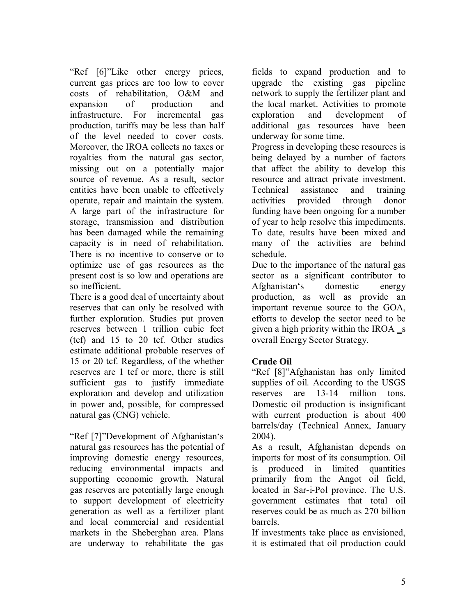"Ref [6]"Like other energy prices, current gas prices are too low to cover costs of rehabilitation, O&M and expansion of production and infrastructure. For incremental gas production, tariffs may be less than half of the level needed to cover costs. Moreover, the IROA collects no taxes or royalties from the natural gas sector, missing out on a potentially major source of revenue. As a result, sector entities have been unable to effectively operate, repair and maintain the system. A large part of the infrastructure for storage, transmission and distribution has been damaged while the remaining capacity is in need of rehabilitation. There is no incentive to conserve or to optimize use of gas resources as the present cost is so low and operations are so inefficient.

There is a good deal of uncertainty about reserves that can only be resolved with further exploration. Studies put proven reserves between 1 trillion cubic feet (tcf) and 15 to 20 tcf. Other studies estimate additional probable reserves of 15 or 20 tcf. Regardless, of the whether reserves are 1 tcf or more, there is still sufficient gas to justify immediate exploration and develop and utilization in power and, possible, for compressed natural gas (CNG) vehicle.

"Ref [7]"Development of Afghanistan's natural gas resources has the potential of improving domestic energy resources, reducing environmental impacts and supporting economic growth. Natural gas reserves are potentially large enough to support development of electricity generation as well as a fertilizer plant and local commercial and residential markets in the Sheberghan area. Plans are underway to rehabilitate the gas

fields to expand production and to upgrade the existing gas pipeline network to supply the fertilizer plant and the local market. Activities to promote exploration and development of additional gas resources have been underway for some time.

Progress in developing these resources is being delayed by a number of factors that affect the ability to develop this resource and attract private investment. Technical assistance and training activities provided through donor funding have been ongoing for a number of year to help resolve this impediments. To date, results have been mixed and many of the activities are behind schedule.

Due to the importance of the natural gas sector as a significant contributor to Afghanistan's domestic energy production, as well as provide an important revenue source to the GOA, efforts to develop the sector need to be given a high priority within the IROA  $\,$ s overall Energy Sector Strategy.

### **Crude Oil**

"Ref [8]"Afghanistan has only limited supplies of oil. According to the USGS reserves are 13-14 million tons. Domestic oil production is insignificant with current production is about 400 barrels/day (Technical Annex, January 2004).

As a result, Afghanistan depends on imports for most of its consumption. Oil is produced in limited quantities primarily from the Angot oil field, located in Sar-i-Pol province. The U.S. government estimates that total oil reserves could be as much as 270 billion barrels.

If investments take place as envisioned, it is estimated that oil production could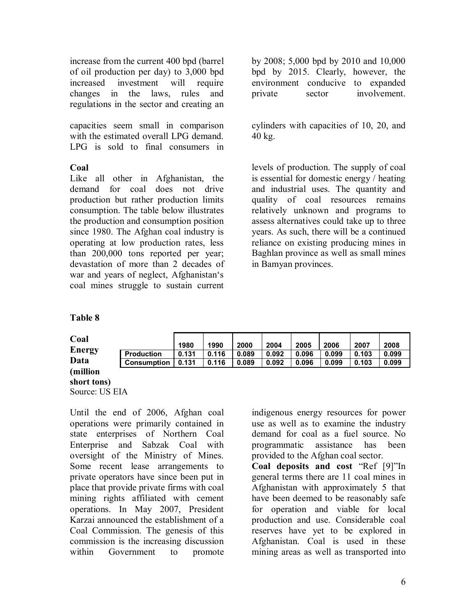increase from the current 400 bpd (barrel of oil production per day) to 3,000 bpd increased investment will require changes in the laws, rules and regulations in the sector and creating an

capacities seem small in comparison with the estimated overall LPG demand. LPG is sold to final consumers in

#### **Coal**

Like all other in Afghanistan, the demand for coal does not drive production but rather production limits consumption. The table below illustrates the production and consumption position since 1980. The Afghan coal industry is operating at low production rates, less than 200,000 tons reported per year; devastation of more than 2 decades of war and years of neglect, Afghanistan's coal mines struggle to sustain current by 2008; 5,000 bpd by 2010 and 10,000 bpd by 2015. Clearly, however, the environment conducive to expanded private sector involvement.

cylinders with capacities of 10, 20, and 40 kg.

levels of production. The supply of coal is essential for domestic energy / heating and industrial uses. The quantity and quality of coal resources remains relatively unknown and programs to assess alternatives could take up to three years. As such, there will be a continued reliance on existing producing mines in Baghlan province as well as small mines in Bamyan provinces.

#### **Table 8**

| Coal           |                    | 1980  | 1990  | 2000  | 2004  | 2005  | 2006  | 2007  | 2008  |
|----------------|--------------------|-------|-------|-------|-------|-------|-------|-------|-------|
| <b>Energy</b>  | <b>Production</b>  | 0.131 | 0.116 | 0.089 | 0.092 | 0.096 | 0.099 | 0.103 | 0.099 |
| Data           | <b>Consumption</b> | 0.131 | 0.116 | 0.089 | 0.092 | 0.096 | 0.099 | 0.103 | 0.099 |
| (million       |                    |       |       |       |       |       |       |       |       |
| short tons)    |                    |       |       |       |       |       |       |       |       |
| Source: US EIA |                    |       |       |       |       |       |       |       |       |

Until the end of 2006, Afghan coal operations were primarily contained in state enterprises of Northern Coal Enterprise and Sabzak Coal with oversight of the Ministry of Mines. Some recent lease arrangements to private operators have since been put in place that provide private firms with coal mining rights affiliated with cement operations. In May 2007, President Karzai announced the establishment of a Coal Commission. The genesis of this commission is the increasing discussion within Government to promote

indigenous energy resources for power use as well as to examine the industry demand for coal as a fuel source. No programmatic assistance has been provided to the Afghan coal sector.

**Coal deposits and cost** "Ref [9]"In general terms there are 11 coal mines in Afghanistan with approximately 5 that have been deemed to be reasonably safe for operation and viable for local production and use. Considerable coal reserves have yet to be explored in Afghanistan. Coal is used in these mining areas as well as transported into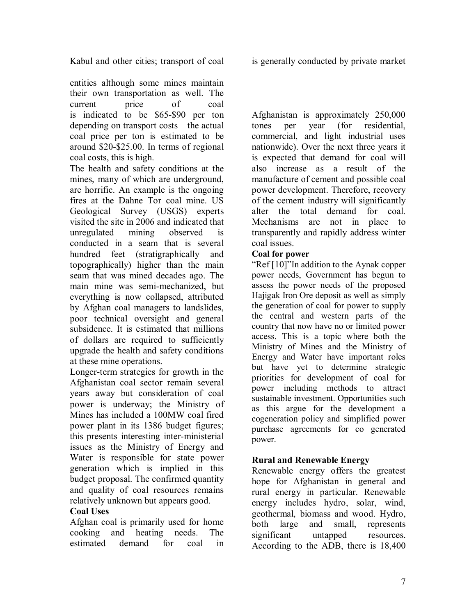Kabul and other cities; transport of coal is generally conducted by private market

entities although some mines maintain their own transportation as well. The current price of coal is indicated to be \$65-\$90 per ton depending on transport costs – the actual coal price per ton is estimated to be around \$20-\$25.00. In terms of regional coal costs, this is high.

The health and safety conditions at the mines, many of which are underground, are horrific. An example is the ongoing fires at the Dahne Tor coal mine. US Geological Survey (USGS) experts visited the site in 2006 and indicated that unregulated mining observed is conducted in a seam that is several hundred feet (stratigraphically and topographically) higher than the main seam that was mined decades ago. The main mine was semi-mechanized, but everything is now collapsed, attributed by Afghan coal managers to landslides, poor technical oversight and general subsidence. It is estimated that millions of dollars are required to sufficiently upgrade the health and safety conditions at these mine operations.

Longer-term strategies for growth in the Afghanistan coal sector remain several years away but consideration of coal power is underway; the Ministry of Mines has included a 100MW coal fired power plant in its 1386 budget figures; this presents interesting inter-ministerial issues as the Ministry of Energy and Water is responsible for state power generation which is implied in this budget proposal. The confirmed quantity and quality of coal resources remains relatively unknown but appears good.

### **Coal Uses**

Afghan coal is primarily used for home cooking and heating needs. The estimated demand for coal in

Afghanistan is approximately 250,000 tones per year (for residential, commercial, and light industrial uses nationwide). Over the next three years it is expected that demand for coal will also increase as a result of the manufacture of cement and possible coal power development. Therefore, recovery of the cement industry will significantly alter the total demand for coal. Mechanisms are not in place to transparently and rapidly address winter coal issues.

#### **Coal for power**

"Ref [10]"In addition to the Aynak copper power needs, Government has begun to assess the power needs of the proposed Hajigak Iron Ore deposit as well as simply the generation of coal for power to supply the central and western parts of the country that now have no or limited power access. This is a topic where both the Ministry of Mines and the Ministry of Energy and Water have important roles but have yet to determine strategic priorities for development of coal for power including methods to attract sustainable investment. Opportunities such as this argue for the development a cogeneration policy and simplified power purchase agreements for co generated power.

### **Rural and Renewable Energy**

Renewable energy offers the greatest hope for Afghanistan in general and rural energy in particular. Renewable energy includes hydro, solar, wind, geothermal, biomass and wood. Hydro, both large and small, represents significant untapped resources. According to the ADB, there is 18,400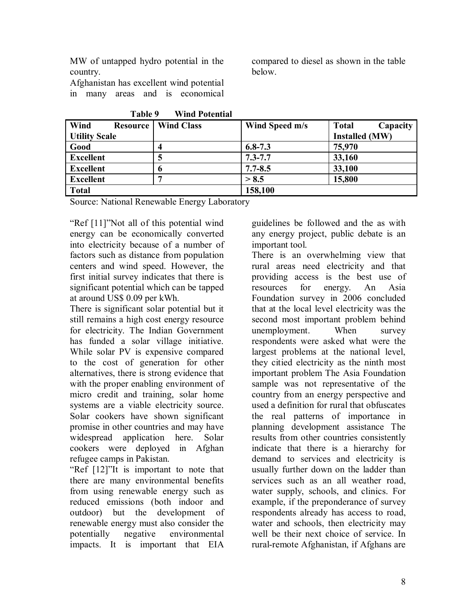MW of untapped hydro potential in the country.

Afghanistan has excellent wind potential in many areas and is economical compared to diesel as shown in the table below.

| * * * * * *             | , , ,,,,,, , , ,,,,,,,,,, |                |                          |
|-------------------------|---------------------------|----------------|--------------------------|
| Wind<br><b>Resource</b> | <b>Wind Class</b>         | Wind Speed m/s | <b>Total</b><br>Capacity |
| <b>Utility Scale</b>    |                           |                | <b>Installed (MW)</b>    |
| Good                    |                           | $6.8 - 7.3$    | 75,970                   |
| <b>Excellent</b>        |                           | $7.3 - 7.7$    | 33,160                   |
| <b>Excellent</b>        | o                         | $7.7 - 8.5$    | 33,100                   |
| <b>Excellent</b>        |                           | > 8.5          | 15,800                   |
| <b>Total</b>            |                           | 158,100        |                          |

 **Table 9 Wind Potential**

Source: National Renewable Energy Laboratory

"Ref [11]"Not all of this potential wind energy can be economically converted into electricity because of a number of factors such as distance from population centers and wind speed. However, the first initial survey indicates that there is significant potential which can be tapped at around US\$ 0.09 per kWh.

There is significant solar potential but it still remains a high cost energy resource for electricity. The Indian Government has funded a solar village initiative. While solar PV is expensive compared to the cost of generation for other alternatives, there is strong evidence that with the proper enabling environment of micro credit and training, solar home systems are a viable electricity source. Solar cookers have shown significant promise in other countries and may have widespread application here. Solar cookers were deployed in Afghan refugee camps in Pakistan.

"Ref [12]"It is important to note that there are many environmental benefits from using renewable energy such as reduced emissions (both indoor and outdoor) but the development of renewable energy must also consider the potentially negative environmental impacts. It is important that EIA

guidelines be followed and the as with any energy project, public debate is an important tool.

There is an overwhelming view that rural areas need electricity and that providing access is the best use of resources for energy. An Asia Foundation survey in 2006 concluded that at the local level electricity was the second most important problem behind unemployment. When survey respondents were asked what were the largest problems at the national level, they citied electricity as the ninth most important problem The Asia Foundation sample was not representative of the country from an energy perspective and used a definition for rural that obfuscates the real patterns of importance in planning development assistance The results from other countries consistently indicate that there is a hierarchy for demand to services and electricity is usually further down on the ladder than services such as an all weather road. water supply, schools, and clinics. For example, if the preponderance of survey respondents already has access to road, water and schools, then electricity may well be their next choice of service. In rural-remote Afghanistan, if Afghans are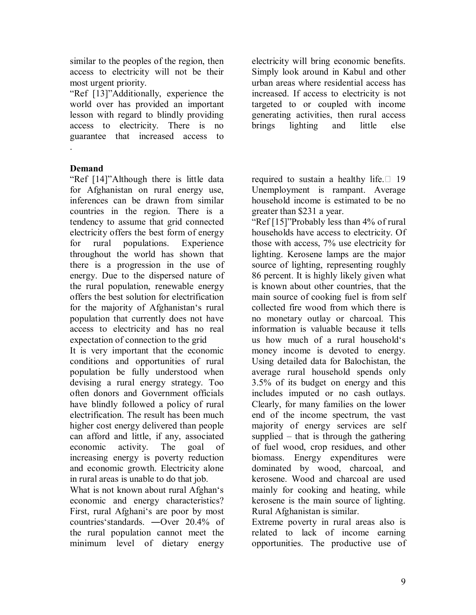similar to the peoples of the region, then access to electricity will not be their most urgent priority.

"Ref [13]"Additionally, experience the world over has provided an important lesson with regard to blindly providing access to electricity. There is no guarantee that increased access to .

### **Demand**

"Ref [14]"Although there is little data for Afghanistan on rural energy use, inferences can be drawn from similar countries in the region. There is a tendency to assume that grid connected electricity offers the best form of energy for rural populations. Experience throughout the world has shown that there is a progression in the use of energy. Due to the dispersed nature of the rural population, renewable energy offers the best solution for electrification for the majority of Afghanistan's rural population that currently does not have access to electricity and has no real expectation of connection to the grid

It is very important that the economic conditions and opportunities of rural population be fully understood when devising a rural energy strategy. Too often donors and Government officials have blindly followed a policy of rural electrification. The result has been much higher cost energy delivered than people can afford and little, if any, associated economic activity. The goal of increasing energy is poverty reduction and economic growth. Electricity alone in rural areas is unable to do that job.

What is not known about rural Afghan's economic and energy characteristics? First, rural Afghani's are poor by most countries'standards. ―Over 20.4% of the rural population cannot meet the minimum level of dietary energy

electricity will bring economic benefits. Simply look around in Kabul and other urban areas where residential access has increased. If access to electricity is not targeted to or coupled with income generating activities, then rural access brings lighting and little else

required to sustain a healthy life.  $\Box$  19 Unemployment is rampant. Average household income is estimated to be no greater than \$231 a year.

"Ref [15]"Probably less than 4% of rural households have access to electricity. Of those with access, 7% use electricity for lighting. Kerosene lamps are the major source of lighting, representing roughly 86 percent. It is highly likely given what is known about other countries, that the main source of cooking fuel is from self collected fire wood from which there is no monetary outlay or charcoal. This information is valuable because it tells us how much of a rural household's money income is devoted to energy. Using detailed data for Balochistan, the average rural household spends only 3.5% of its budget on energy and this includes imputed or no cash outlays. Clearly, for many families on the lower end of the income spectrum, the vast majority of energy services are self supplied – that is through the gathering of fuel wood, crop residues, and other biomass. Energy expenditures were dominated by wood, charcoal, and kerosene. Wood and charcoal are used mainly for cooking and heating, while kerosene is the main source of lighting. Rural Afghanistan is similar.

Extreme poverty in rural areas also is related to lack of income earning opportunities. The productive use of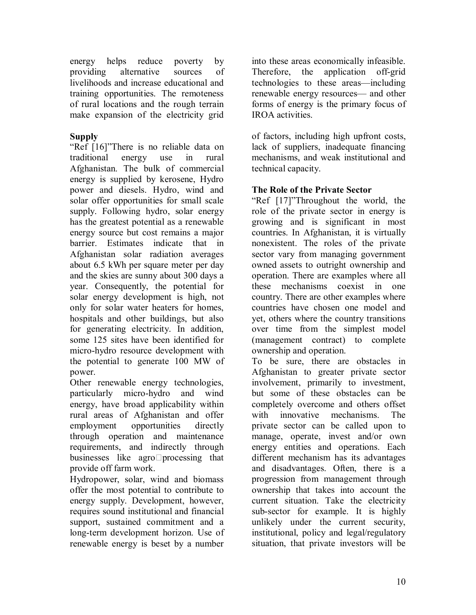energy helps reduce poverty by providing alternative sources of livelihoods and increase educational and training opportunities. The remoteness of rural locations and the rough terrain make expansion of the electricity grid

## **Supply**

"Ref [16]"There is no reliable data on traditional energy use in rural Afghanistan. The bulk of commercial energy is supplied by kerosene, Hydro power and diesels. Hydro, wind and solar offer opportunities for small scale supply. Following hydro, solar energy has the greatest potential as a renewable energy source but cost remains a major barrier. Estimates indicate that in Afghanistan solar radiation averages about 6.5 kWh per square meter per day and the skies are sunny about 300 days a year. Consequently, the potential for solar energy development is high, not only for solar water heaters for homes, hospitals and other buildings, but also for generating electricity. In addition, some 125 sites have been identified for micro-hydro resource development with the potential to generate 100 MW of power.

Other renewable energy technologies, particularly micro-hydro and wind energy, have broad applicability within rural areas of Afghanistan and offer employment opportunities directly through operation and maintenance requirements, and indirectly through businesses like agro $\Box$ processing that provide off farm work.

Hydropower, solar, wind and biomass offer the most potential to contribute to energy supply. Development, however, requires sound institutional and financial support, sustained commitment and a long-term development horizon. Use of renewable energy is beset by a number

into these areas economically infeasible. Therefore, the application off-grid technologies to these areas—including renewable energy resources— and other forms of energy is the primary focus of IROA activities.

of factors, including high upfront costs, lack of suppliers, inadequate financing mechanisms, and weak institutional and technical capacity.

### **The Role of the Private Sector**

"Ref [17]"Throughout the world, the role of the private sector in energy is growing and is significant in most countries. In Afghanistan, it is virtually nonexistent. The roles of the private sector vary from managing government owned assets to outright ownership and operation. There are examples where all these mechanisms coexist in one country. There are other examples where countries have chosen one model and yet, others where the country transitions over time from the simplest model (management contract) to complete ownership and operation.

To be sure, there are obstacles in Afghanistan to greater private sector involvement, primarily to investment, but some of these obstacles can be completely overcome and others offset with innovative mechanisms. The private sector can be called upon to manage, operate, invest and/or own energy entities and operations. Each different mechanism has its advantages and disadvantages. Often, there is a progression from management through ownership that takes into account the current situation. Take the electricity sub-sector for example. It is highly unlikely under the current security, institutional, policy and legal/regulatory situation, that private investors will be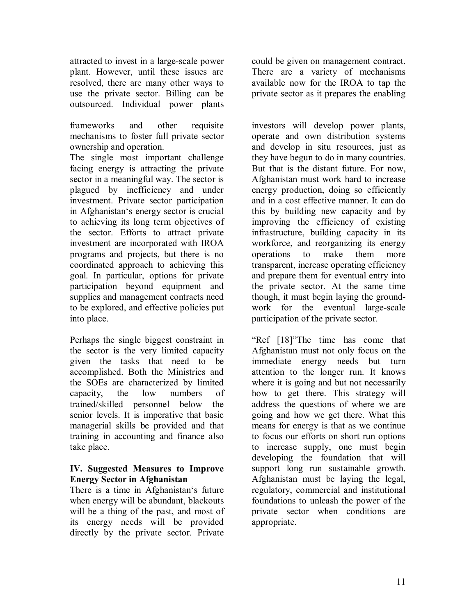attracted to invest in a large-scale power plant. However, until these issues are resolved, there are many other ways to use the private sector. Billing can be outsourced. Individual power plants

frameworks and other requisite mechanisms to foster full private sector ownership and operation.

The single most important challenge facing energy is attracting the private sector in a meaningful way. The sector is plagued by inefficiency and under investment. Private sector participation in Afghanistan's energy sector is crucial to achieving its long term objectives of the sector. Efforts to attract private investment are incorporated with IROA programs and projects, but there is no coordinated approach to achieving this goal. In particular, options for private participation beyond equipment and supplies and management contracts need to be explored, and effective policies put into place.

Perhaps the single biggest constraint in the sector is the very limited capacity given the tasks that need to be accomplished. Both the Ministries and the SOEs are characterized by limited capacity, the low numbers of trained/skilled personnel below the senior levels. It is imperative that basic managerial skills be provided and that training in accounting and finance also take place.

#### **IV. Suggested Measures to Improve Energy Sector in Afghanistan**

There is a time in Afghanistan's future when energy will be abundant, blackouts will be a thing of the past, and most of its energy needs will be provided directly by the private sector. Private could be given on management contract. There are a variety of mechanisms available now for the IROA to tap the private sector as it prepares the enabling

investors will develop power plants, operate and own distribution systems and develop in situ resources, just as they have begun to do in many countries. But that is the distant future. For now, Afghanistan must work hard to increase energy production, doing so efficiently and in a cost effective manner. It can do this by building new capacity and by improving the efficiency of existing infrastructure, building capacity in its workforce, and reorganizing its energy operations to make them more transparent, increase operating efficiency and prepare them for eventual entry into the private sector. At the same time though, it must begin laying the groundwork for the eventual large-scale participation of the private sector.

"Ref [18]"The time has come that Afghanistan must not only focus on the immediate energy needs but turn attention to the longer run. It knows where it is going and but not necessarily how to get there. This strategy will address the questions of where we are going and how we get there. What this means for energy is that as we continue to focus our efforts on short run options to increase supply, one must begin developing the foundation that will support long run sustainable growth. Afghanistan must be laying the legal, regulatory, commercial and institutional foundations to unleash the power of the private sector when conditions are appropriate.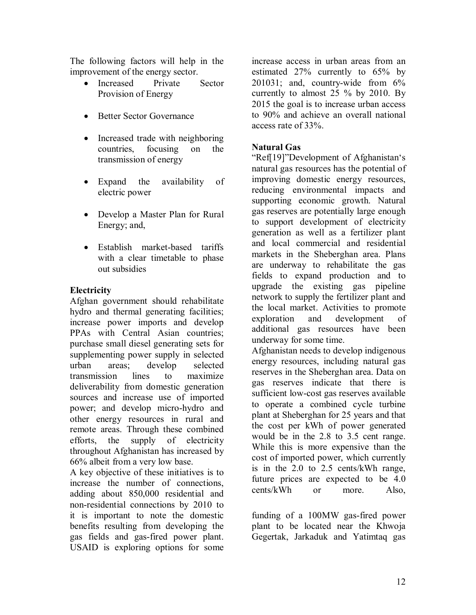The following factors will help in the improvement of the energy sector.

- Increased Private Sector Provision of Energy
- Better Sector Governance
- Increased trade with neighboring countries, focusing on the transmission of energy
- Expand the availability of electric power
- Develop a Master Plan for Rural Energy; and,
- Establish market-based tariffs with a clear timetable to phase out subsidies

## **Electricity**

Afghan government should rehabilitate hydro and thermal generating facilities; increase power imports and develop PPAs with Central Asian countries; purchase small diesel generating sets for supplementing power supply in selected urban areas; develop selected transmission lines to maximize deliverability from domestic generation sources and increase use of imported power; and develop micro-hydro and other energy resources in rural and remote areas. Through these combined efforts, the supply of electricity throughout Afghanistan has increased by 66% albeit from a very low base.

A key objective of these initiatives is to increase the number of connections, adding about 850,000 residential and non-residential connections by 2010 to it is important to note the domestic benefits resulting from developing the gas fields and gas-fired power plant. USAID is exploring options for some

increase access in urban areas from an estimated 27% currently to 65% by 201031; and, country-wide from 6% currently to almost 25 % by 2010. By 2015 the goal is to increase urban access to 90% and achieve an overall national access rate of 33%.

## **Natural Gas**

"Ref[19]"Development of Afghanistan's natural gas resources has the potential of improving domestic energy resources, reducing environmental impacts and supporting economic growth. Natural gas reserves are potentially large enough to support development of electricity generation as well as a fertilizer plant and local commercial and residential markets in the Sheberghan area. Plans are underway to rehabilitate the gas fields to expand production and to upgrade the existing gas pipeline network to supply the fertilizer plant and the local market. Activities to promote exploration and development of additional gas resources have been underway for some time.

Afghanistan needs to develop indigenous energy resources, including natural gas reserves in the Sheberghan area. Data on gas reserves indicate that there is sufficient low-cost gas reserves available to operate a combined cycle turbine plant at Sheberghan for 25 years and that the cost per kWh of power generated would be in the 2.8 to 3.5 cent range. While this is more expensive than the cost of imported power, which currently is in the 2.0 to 2.5 cents/kWh range, future prices are expected to be 4.0 cents/kWh or more. Also,

funding of a 100MW gas-fired power plant to be located near the Khwoja Gegertak, Jarkaduk and Yatimtaq gas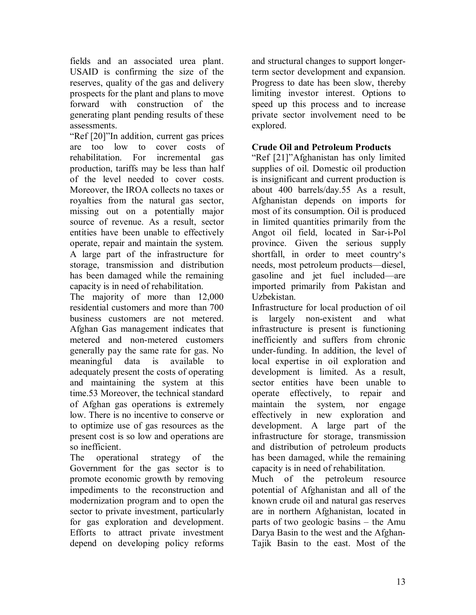fields and an associated urea plant. USAID is confirming the size of the reserves, quality of the gas and delivery prospects for the plant and plans to move forward with construction of the generating plant pending results of these assessments.

"Ref [20]"In addition, current gas prices are too low to cover costs of rehabilitation. For incremental gas production, tariffs may be less than half of the level needed to cover costs. Moreover, the IROA collects no taxes or royalties from the natural gas sector, missing out on a potentially major source of revenue. As a result, sector entities have been unable to effectively operate, repair and maintain the system. A large part of the infrastructure for storage, transmission and distribution has been damaged while the remaining capacity is in need of rehabilitation.

The majority of more than 12,000 residential customers and more than 700 business customers are not metered. Afghan Gas management indicates that metered and non-metered customers generally pay the same rate for gas. No meaningful data is available to adequately present the costs of operating and maintaining the system at this time.53 Moreover, the technical standard of Afghan gas operations is extremely low. There is no incentive to conserve or to optimize use of gas resources as the present cost is so low and operations are so inefficient.

The operational strategy of the Government for the gas sector is to promote economic growth by removing impediments to the reconstruction and modernization program and to open the sector to private investment, particularly for gas exploration and development. Efforts to attract private investment depend on developing policy reforms

and structural changes to support longerterm sector development and expansion. Progress to date has been slow, thereby limiting investor interest. Options to speed up this process and to increase private sector involvement need to be explored.

#### **Crude Oil and Petroleum Products**

"Ref [21]"Afghanistan has only limited supplies of oil. Domestic oil production is insignificant and current production is about 400 barrels/day.55 As a result, Afghanistan depends on imports for most of its consumption. Oil is produced in limited quantities primarily from the Angot oil field, located in Sar-i-Pol province. Given the serious supply shortfall, in order to meet country's needs, most petroleum products—diesel, gasoline and jet fuel included—are imported primarily from Pakistan and Uzbekistan.

Infrastructure for local production of oil is largely non-existent and what infrastructure is present is functioning inefficiently and suffers from chronic under-funding. In addition, the level of local expertise in oil exploration and development is limited. As a result, sector entities have been unable to operate effectively, to repair and maintain the system, nor engage effectively in new exploration and development. A large part of the infrastructure for storage, transmission and distribution of petroleum products has been damaged, while the remaining capacity is in need of rehabilitation.

Much of the petroleum resource potential of Afghanistan and all of the known crude oil and natural gas reserves are in northern Afghanistan, located in parts of two geologic basins – the Amu Darya Basin to the west and the Afghan-Tajik Basin to the east. Most of the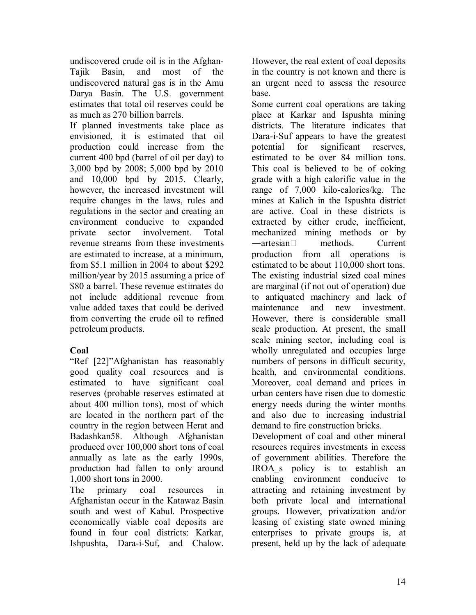undiscovered crude oil is in the Afghan-Tajik Basin, and most of the undiscovered natural gas is in the Amu Darya Basin. The U.S. government estimates that total oil reserves could be as much as 270 billion barrels.

If planned investments take place as envisioned, it is estimated that oil production could increase from the current 400 bpd (barrel of oil per day) to 3,000 bpd by 2008; 5,000 bpd by 2010 and 10,000 bpd by 2015. Clearly, however, the increased investment will require changes in the laws, rules and regulations in the sector and creating an environment conducive to expanded private sector involvement. Total revenue streams from these investments are estimated to increase, at a minimum, from \$5.1 million in 2004 to about \$292 million/year by 2015 assuming a price of \$80 a barrel. These revenue estimates do not include additional revenue from value added taxes that could be derived from converting the crude oil to refined petroleum products.

# **Coal**

"Ref [22]"Afghanistan has reasonably good quality coal resources and is estimated to have significant coal reserves (probable reserves estimated at about 400 million tons), most of which are located in the northern part of the country in the region between Herat and Badashkan58. Although Afghanistan produced over 100,000 short tons of coal annually as late as the early 1990s, production had fallen to only around 1,000 short tons in 2000.

The primary coal resources in Afghanistan occur in the Katawaz Basin south and west of Kabul. Prospective economically viable coal deposits are found in four coal districts: Karkar, Ishpushta, Dara-i-Suf, and Chalow.

However, the real extent of coal deposits in the country is not known and there is an urgent need to assess the resource base.

Some current coal operations are taking place at Karkar and Ispushta mining districts. The literature indicates that Dara-i-Suf appears to have the greatest potential for significant reserves, estimated to be over 84 million tons. This coal is believed to be of coking grade with a high calorific value in the range of 7,000 kilo-calories/kg. The mines at Kalich in the Ispushta district are active. Coal in these districts is extracted by either crude, inefficient, mechanized mining methods or by  $\rightharpoonup$  artesian methods. Current production from all operations is estimated to be about 110,000 short tons. The existing industrial sized coal mines are marginal (if not out of operation) due to antiquated machinery and lack of maintenance and new investment. However, there is considerable small scale production. At present, the small scale mining sector, including coal is wholly unregulated and occupies large numbers of persons in difficult security, health, and environmental conditions. Moreover, coal demand and prices in urban centers have risen due to domestic energy needs during the winter months and also due to increasing industrial demand to fire construction bricks.

Development of coal and other mineral resources requires investments in excess of government abilities. Therefore the IROA<sub>\_</sub>s policy is to establish an enabling environment conducive to attracting and retaining investment by both private local and international groups. However, privatization and/or leasing of existing state owned mining enterprises to private groups is, at present, held up by the lack of adequate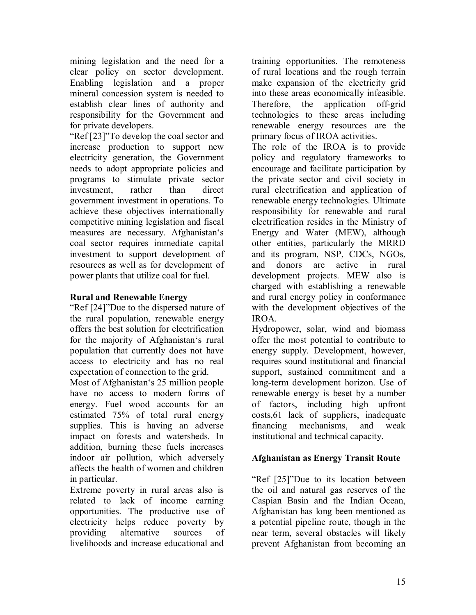mining legislation and the need for a clear policy on sector development. Enabling legislation and a proper mineral concession system is needed to establish clear lines of authority and responsibility for the Government and for private developers.

"Ref [23]"To develop the coal sector and increase production to support new electricity generation, the Government needs to adopt appropriate policies and programs to stimulate private sector investment, rather than direct government investment in operations. To achieve these objectives internationally competitive mining legislation and fiscal measures are necessary. Afghanistan's coal sector requires immediate capital investment to support development of resources as well as for development of power plants that utilize coal for fuel.

#### **Rural and Renewable Energy**

"Ref [24]"Due to the dispersed nature of the rural population, renewable energy offers the best solution for electrification for the majority of Afghanistan's rural population that currently does not have access to electricity and has no real expectation of connection to the grid.

Most of Afghanistan's 25 million people have no access to modern forms of energy. Fuel wood accounts for an estimated 75% of total rural energy supplies. This is having an adverse impact on forests and watersheds. In addition, burning these fuels increases indoor air pollution, which adversely affects the health of women and children in particular.

Extreme poverty in rural areas also is related to lack of income earning opportunities. The productive use of electricity helps reduce poverty by providing alternative sources of livelihoods and increase educational and

training opportunities. The remoteness of rural locations and the rough terrain make expansion of the electricity grid into these areas economically infeasible. Therefore, the application off-grid technologies to these areas including renewable energy resources are the primary focus of IROA activities.

The role of the IROA is to provide policy and regulatory frameworks to encourage and facilitate participation by the private sector and civil society in rural electrification and application of renewable energy technologies. Ultimate responsibility for renewable and rural electrification resides in the Ministry of Energy and Water (MEW), although other entities, particularly the MRRD and its program, NSP, CDCs, NGOs, and donors are active in rural development projects. MEW also is charged with establishing a renewable and rural energy policy in conformance with the development objectives of the IROA.

Hydropower, solar, wind and biomass offer the most potential to contribute to energy supply. Development, however, requires sound institutional and financial support, sustained commitment and a long-term development horizon. Use of renewable energy is beset by a number of factors, including high upfront costs,61 lack of suppliers, inadequate financing mechanisms, and weak institutional and technical capacity.

### **Afghanistan as Energy Transit Route**

"Ref [25]"Due to its location between the oil and natural gas reserves of the Caspian Basin and the Indian Ocean, Afghanistan has long been mentioned as a potential pipeline route, though in the near term, several obstacles will likely prevent Afghanistan from becoming an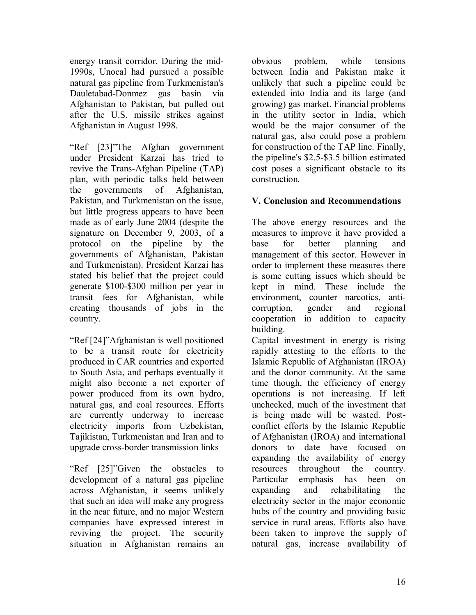energy transit corridor. During the mid-1990s, Unocal had pursued a possible natural gas pipeline from Turkmenistan's Dauletabad-Donmez gas basin via Afghanistan to Pakistan, but pulled out after the U.S. missile strikes against Afghanistan in August 1998.

"Ref [23]"The Afghan government under President Karzai has tried to revive the Trans-Afghan Pipeline (TAP) plan, with periodic talks held between the governments of Afghanistan, Pakistan, and Turkmenistan on the issue, but little progress appears to have been made as of early June 2004 (despite the signature on December 9, 2003, of a protocol on the pipeline by the governments of Afghanistan, Pakistan and Turkmenistan). President Karzai has stated his belief that the project could generate \$100-\$300 million per year in transit fees for Afghanistan, while creating thousands of jobs in the country.

"Ref [24]"Afghanistan is well positioned to be a transit route for electricity produced in CAR countries and exported to South Asia, and perhaps eventually it might also become a net exporter of power produced from its own hydro, natural gas, and coal resources. Efforts are currently underway to increase electricity imports from Uzbekistan, Tajikistan, Turkmenistan and Iran and to upgrade cross-border transmission links

"Ref [25]"Given the obstacles to development of a natural gas pipeline across Afghanistan, it seems unlikely that such an idea will make any progress in the near future, and no major Western companies have expressed interest in reviving the project. The security situation in Afghanistan remains an obvious problem, while tensions between India and Pakistan make it unlikely that such a pipeline could be extended into India and its large (and growing) gas market. Financial problems in the utility sector in India, which would be the major consumer of the natural gas, also could pose a problem for construction of the TAP line. Finally, the pipeline's \$2.5-\$3.5 billion estimated cost poses a significant obstacle to its construction.

# **V. Conclusion and Recommendations**

The above energy resources and the measures to improve it have provided a base for better planning and management of this sector. However in order to implement these measures there is some cutting issues which should be kept in mind. These include the environment, counter narcotics, anticorruption, gender and regional cooperation in addition to capacity building.

Capital investment in energy is rising rapidly attesting to the efforts to the Islamic Republic of Afghanistan (IROA) and the donor community. At the same time though, the efficiency of energy operations is not increasing. If left unchecked, much of the investment that is being made will be wasted. Postconflict efforts by the Islamic Republic of Afghanistan (IROA) and international donors to date have focused on expanding the availability of energy resources throughout the country. Particular emphasis has been on expanding and rehabilitating the electricity sector in the major economic hubs of the country and providing basic service in rural areas. Efforts also have been taken to improve the supply of natural gas, increase availability of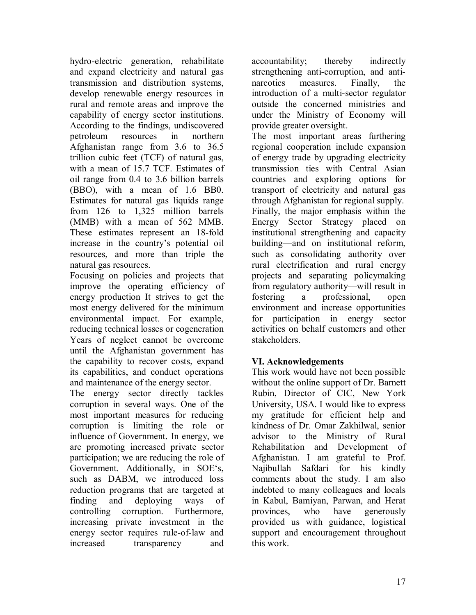hydro-electric generation, rehabilitate and expand electricity and natural gas transmission and distribution systems, develop renewable energy resources in rural and remote areas and improve the capability of energy sector institutions. According to the findings, undiscovered petroleum resources in northern Afghanistan range from 3.6 to 36.5 trillion cubic feet (TCF) of natural gas, with a mean of 15.7 TCF. Estimates of oil range from 0.4 to 3.6 billion barrels (BBO), with a mean of 1.6 BB0. Estimates for natural gas liquids range from 126 to 1,325 million barrels (MMB) with a mean of 562 MMB. These estimates represent an 18-fold increase in the country's potential oil resources, and more than triple the natural gas resources.

Focusing on policies and projects that improve the operating efficiency of energy production It strives to get the most energy delivered for the minimum environmental impact. For example, reducing technical losses or cogeneration Years of neglect cannot be overcome until the Afghanistan government has the capability to recover costs, expand its capabilities, and conduct operations and maintenance of the energy sector.

The energy sector directly tackles corruption in several ways. One of the most important measures for reducing corruption is limiting the role or influence of Government. In energy, we are promoting increased private sector participation; we are reducing the role of Government. Additionally, in SOE's, such as DABM, we introduced loss reduction programs that are targeted at finding and deploying ways of controlling corruption. Furthermore, increasing private investment in the energy sector requires rule-of-law and increased transparency and

accountability; thereby indirectly strengthening anti-corruption, and antinarcotics measures. Finally, the introduction of a multi-sector regulator outside the concerned ministries and under the Ministry of Economy will provide greater oversight.

The most important areas furthering regional cooperation include expansion of energy trade by upgrading electricity transmission ties with Central Asian countries and exploring options for transport of electricity and natural gas through Afghanistan for regional supply. Finally, the major emphasis within the Energy Sector Strategy placed on institutional strengthening and capacity building—and on institutional reform, such as consolidating authority over rural electrification and rural energy projects and separating policymaking from regulatory authority—will result in fostering a professional, open environment and increase opportunities for participation in energy sector activities on behalf customers and other stakeholders.

# **VI. Acknowledgements**

This work would have not been possible without the online support of Dr. Barnett Rubin, Director of CIC, New York University, USA. I would like to express my gratitude for efficient help and kindness of Dr. Omar Zakhilwal, senior advisor to the Ministry of Rural Rehabilitation and Development of Afghanistan. I am grateful to Prof. Najibullah Safdari for his kindly comments about the study. I am also indebted to many colleagues and locals in Kabul, Bamiyan, Parwan, and Herat provinces, who have generously provided us with guidance, logistical support and encouragement throughout this work.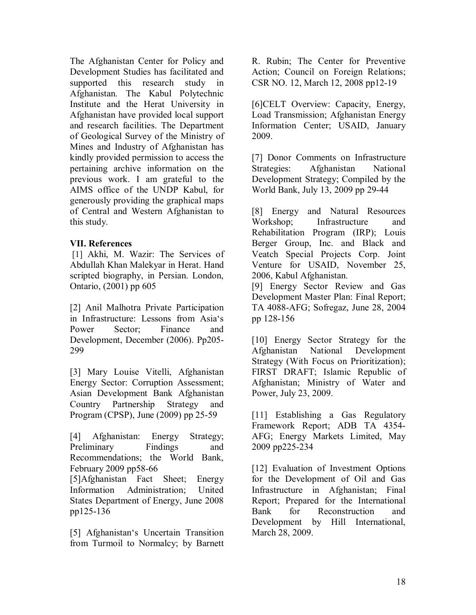The Afghanistan Center for Policy and Development Studies has facilitated and supported this research study in Afghanistan. The Kabul Polytechnic Institute and the Herat University in Afghanistan have provided local support and research facilities. The Department of Geological Survey of the Ministry of Mines and Industry of Afghanistan has kindly provided permission to access the pertaining archive information on the previous work. I am grateful to the AIMS office of the UNDP Kabul, for generously providing the graphical maps of Central and Western Afghanistan to this study.

#### **VII. References**

 [1] Akhi, M. Wazir: The Services of Abdullah Khan Malekyar in Herat. Hand scripted biography, in Persian. London, Ontario, (2001) pp 605

[2] Anil Malhotra Private Participation in Infrastructure: Lessons from Asia's Power Sector: Finance and Development, December (2006). Pp205- 299

[3] Mary Louise Vitelli, Afghanistan Energy Sector: Corruption Assessment; Asian Development Bank Afghanistan Country Partnership Strategy and Program (CPSP), June (2009) pp 25-59

[4] Afghanistan: Energy Strategy; Preliminary Findings and Recommendations; the World Bank, February 2009 pp58-66

[5]Afghanistan Fact Sheet; Energy Information Administration; United States Department of Energy, June 2008 pp125-136

[5] Afghanistan's Uncertain Transition from Turmoil to Normalcy; by Barnett R. Rubin; The Center for Preventive Action; Council on Foreign Relations; CSR NO. 12, March 12, 2008 pp12-19

[6]CELT Overview: Capacity, Energy, Load Transmission; Afghanistan Energy Information Center; USAID, January 2009.

[7] Donor Comments on Infrastructure Strategies: Afghanistan National Development Strategy; Compiled by the World Bank, July 13, 2009 pp 29-44

[8] Energy and Natural Resources Workshop; Infrastructure and Rehabilitation Program (IRP); Louis Berger Group, Inc. and Black and Veatch Special Projects Corp. Joint Venture for USAID, November 25, 2006, Kabul Afghanistan.

[9] Energy Sector Review and Gas Development Master Plan: Final Report; TA 4088-AFG; Sofregaz, June 28, 2004 pp 128-156

[10] Energy Sector Strategy for the Afghanistan National Development Strategy (With Focus on Prioritization); FIRST DRAFT; Islamic Republic of Afghanistan; Ministry of Water and Power, July 23, 2009.

[11] Establishing a Gas Regulatory Framework Report; ADB TA 4354- AFG; Energy Markets Limited, May 2009 pp225-234

[12] Evaluation of Investment Options for the Development of Oil and Gas Infrastructure in Afghanistan; Final Report; Prepared for the International Bank for Reconstruction and Development by Hill International, March 28, 2009.